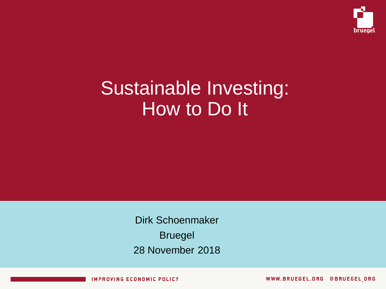

# Sustainable Investing: How to Do It

Dirk Schoenmaker Bruegel 28 November 2018

**IMPROVING ECONOMIC POLICY** 

WWW.BRUEGEL.ORG @BRUEGEL ORG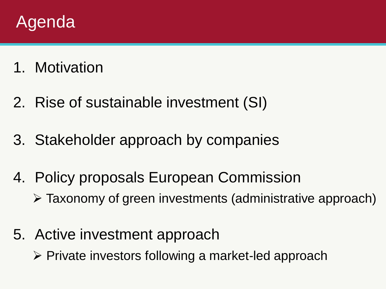#### Agenda

- 1. Motivation
- 2. Rise of sustainable investment (SI)
- 3. Stakeholder approach by companies
- 4. Policy proposals European Commission
	- Taxonomy of green investments (administrative approach)
- 5. Active investment approach
	- $\triangleright$  Private investors following a market-led approach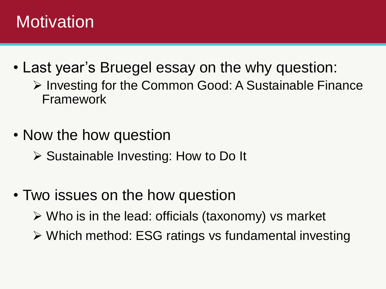## **Motivation**

- Last year's Bruegel essay on the why question:  $\triangleright$  Investing for the Common Good: A Sustainable Finance Framework
- Now the how question
	- $\triangleright$  Sustainable Investing: How to Do It
- Two issues on the how question
	- $\triangleright$  Who is in the lead: officials (taxonomy) vs market
	- Which method: ESG ratings vs fundamental investing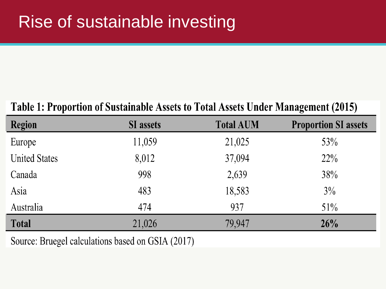### Rise of sustainable investing

#### Table 1: Proportion of Sustainable Assets to Total Assets Under Management (2015)

| <b>Region</b>        | <b>SI</b> assets | <b>Total AUM</b> | <b>Proportion SI assets</b> |
|----------------------|------------------|------------------|-----------------------------|
| Europe               | 11,059           | 21,025           | 53%                         |
| <b>United States</b> | 8,012            | 37,094           | $22\%$                      |
| Canada               | 998              | 2,639            | 38%                         |
| Asia                 | 483              | 18,583           | 3%                          |
| Australia            | 474              | 937              | $51\%$                      |
| <b>Total</b>         | 21,026           | 79,947           | 26%                         |

Source: Bruegel calculations based on GSIA (2017)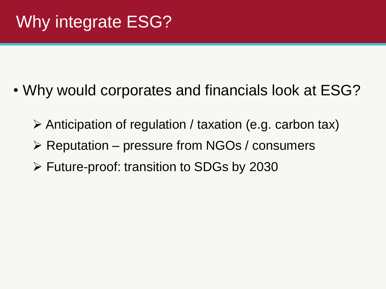- Why would corporates and financials look at ESG?
	- $\triangleright$  Anticipation of regulation / taxation (e.g. carbon tax)
	- $\triangleright$  Reputation pressure from NGOs / consumers
	- Future-proof: transition to SDGs by 2030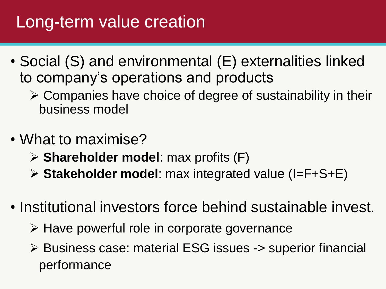## Long-term value creation

- Social (S) and environmental (E) externalities linked to company's operations and products
	- $\triangleright$  Companies have choice of degree of sustainability in their business model
- What to maximise?
	- **Shareholder model**: max profits (F)
	- **Stakeholder model**: max integrated value (I=F+S+E)
- Institutional investors force behind sustainable invest.
	- $\triangleright$  Have powerful role in corporate governance
	- Business case: material ESG issues -> superior financial performance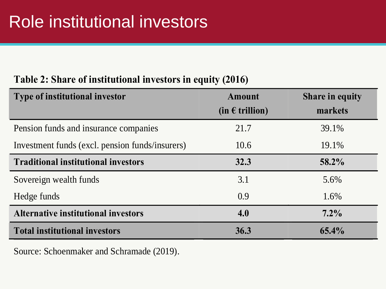#### **Table 2: Share of institutional investors in equity (2016)**

| <b>Type of institutional investor</b>           | <b>Amount</b>              | <b>Share in equity</b> |
|-------------------------------------------------|----------------------------|------------------------|
|                                                 | $(in \in \text{trillion})$ | markets                |
| Pension funds and insurance companies           | 21.7                       | 39.1%                  |
| Investment funds (excl. pension funds/insurers) | 10.6                       | 19.1%                  |
| <b>Traditional institutional investors</b>      | 32.3                       | 58.2%                  |
| Sovereign wealth funds                          | 3.1                        | 5.6%                   |
| Hedge funds                                     | 0.9                        | 1.6%                   |
| <b>Alternative institutional investors</b>      | 4.0                        | $7.2\%$                |
| <b>Total institutional investors</b>            | 36.3                       | 65.4%                  |

Source: Schoenmaker and Schramade (2019).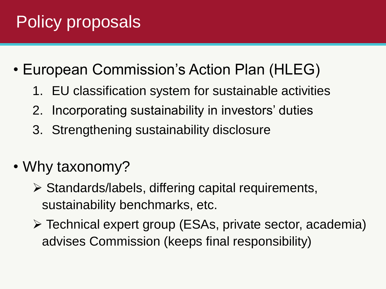- European Commission's Action Plan (HLEG)
	- 1. EU classification system for sustainable activities
	- 2. Incorporating sustainability in investors' duties
	- 3. Strengthening sustainability disclosure
- Why taxonomy?
	- $\triangleright$  Standards/labels, differing capital requirements, sustainability benchmarks, etc.
	- Technical expert group (ESAs, private sector, academia) advises Commission (keeps final responsibility)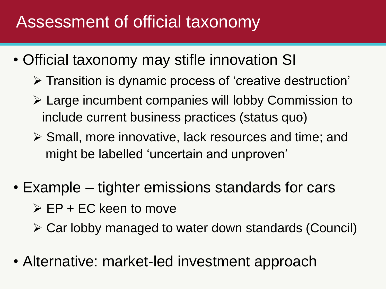### Assessment of official taxonomy

- Official taxonomy may stifle innovation SI
	- $\triangleright$  Transition is dynamic process of 'creative destruction'
	- Large incumbent companies will lobby Commission to include current business practices (status quo)
	- Small, more innovative, lack resources and time; and might be labelled 'uncertain and unproven'
- Example tighter emissions standards for cars  $\triangleright$  EP + EC keen to move
	- Car lobby managed to water down standards (Council)
- Alternative: market-led investment approach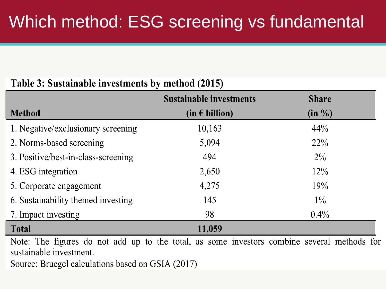#### Table 3: Sustainable investments by method (2015)

|                                                                                                                        | <b>Sustainable investments</b> | <b>Share</b> |
|------------------------------------------------------------------------------------------------------------------------|--------------------------------|--------------|
| <b>Method</b>                                                                                                          | $(in \in billion)$             | $(in \%)$    |
| 1. Negative/exclusionary screening                                                                                     | 10,163                         | 44%          |
| 2. Norms-based screening                                                                                               | 5,094                          | $22\%$       |
| 3. Positive/best-in-class-screening                                                                                    | 494                            | $2\%$        |
| 4. ESG integration                                                                                                     | 2,650                          | $12\%$       |
| 5. Corporate engagement                                                                                                | 4,275                          | 19%          |
| 6. Sustainability themed investing                                                                                     | 145                            | $1\%$        |
| 7. Impact investing                                                                                                    | 98                             | $0.4\%$      |
| <b>Total</b>                                                                                                           | 11,059                         |              |
| Note: The figures do not add up to the total, as some investors combine several methods for<br>sustainable investment. |                                |              |

Source: Bruegel calculations based on GSIA (2017)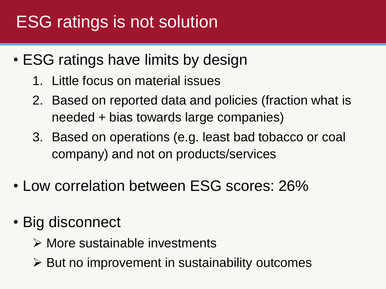# ESG ratings is not solution

- ESG ratings have limits by design
	- 1. Little focus on material issues
	- 2. Based on reported data and policies (fraction what is needed + bias towards large companies)
	- 3. Based on operations (e.g. least bad tobacco or coal company) and not on products/services
- Low correlation between ESG scores: 26%
- Big disconnect
	- More sustainable investments
	- $\triangleright$  But no improvement in sustainability outcomes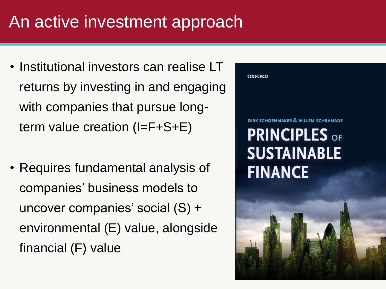### An active investment approach

- Institutional investors can realise LT returns by investing in and engaging with companies that pursue longterm value creation (I=F+S+E)
- Requires fundamental analysis of companies' business models to uncover companies' social (S) + environmental (E) value, alongside financial (F) value

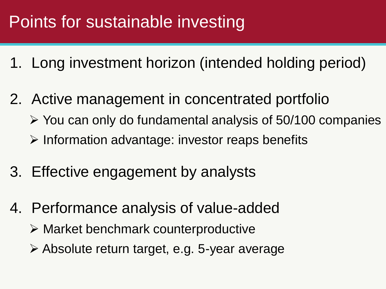# Points for sustainable investing

- 1. Long investment horizon (intended holding period)
- 2. Active management in concentrated portfolio
	- $\triangleright$  You can only do fundamental analysis of 50/100 companies
	- $\triangleright$  Information advantage: investor reaps benefits
- 3. Effective engagement by analysts
- 4. Performance analysis of value-added
	- $\triangleright$  Market benchmark counterproductive
	- Absolute return target, e.g. 5-year average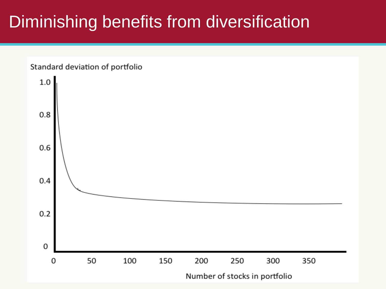### Diminishing benefits from diversification